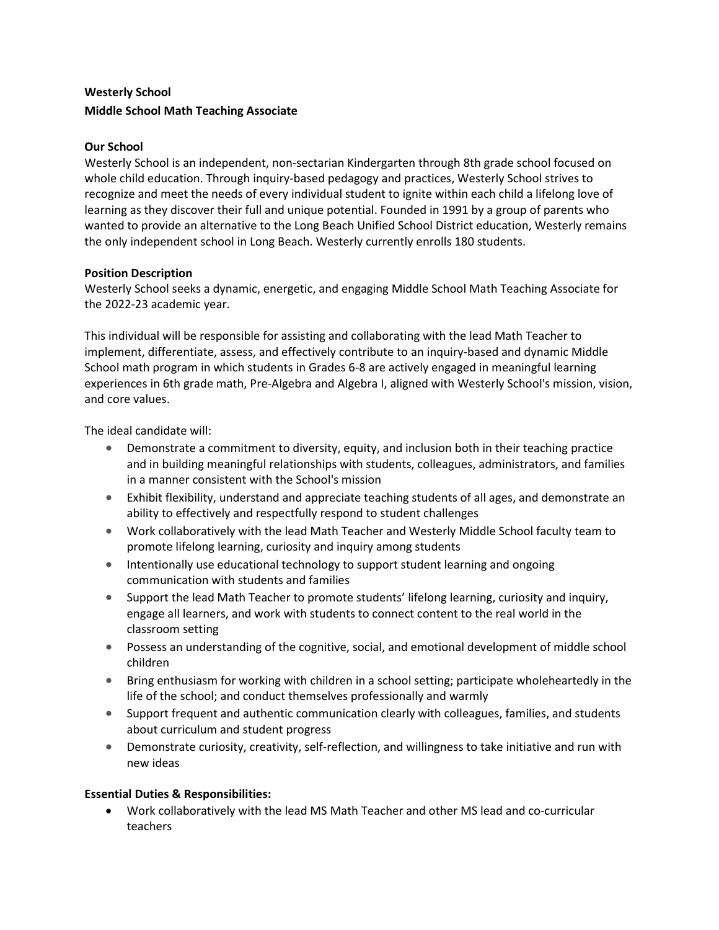# Westerly School Middle School Math Teaching Associate

## Our School

Westerly School is an independent, non-sectarian Kindergarten through 8th grade school focused on whole child education. Through inquiry-based pedagogy and practices, Westerly School strives to recognize and meet the needs of every individual student to ignite within each child a lifelong love of learning as they discover their full and unique potential. Founded in 1991 by a group of parents who wanted to provide an alternative to the Long Beach Unified School District education, Westerly remains the only independent school in Long Beach. Westerly currently enrolls 180 students.

### Position Description

Westerly School seeks a dynamic, energetic, and engaging Middle School Math Teaching Associate for the 2022-23 academic year.

This individual will be responsible for assisting and collaborating with the lead Math Teacher to implement, differentiate, assess, and effectively contribute to an inquiry-based and dynamic Middle School math program in which students in Grades 6-8 are actively engaged in meaningful learning experiences in 6th grade math, Pre-Algebra and Algebra I, aligned with Westerly School's mission, vision, and core values.

The ideal candidate will:

- Demonstrate a commitment to diversity, equity, and inclusion both in their teaching practice and in building meaningful relationships with students, colleagues, administrators, and families in a manner consistent with the School's mission
- Exhibit flexibility, understand and appreciate teaching students of all ages, and demonstrate an ability to effectively and respectfully respond to student challenges
- Work collaboratively with the lead Math Teacher and Westerly Middle School faculty team to promote lifelong learning, curiosity and inquiry among students
- **Intentionally use educational technology to support student learning and ongoing** communication with students and families
- Support the lead Math Teacher to promote students' lifelong learning, curiosity and inquiry, engage all learners, and work with students to connect content to the real world in the classroom setting
- Possess an understanding of the cognitive, social, and emotional development of middle school children
- Bring enthusiasm for working with children in a school setting; participate wholeheartedly in the life of the school; and conduct themselves professionally and warmly
- Support frequent and authentic communication clearly with colleagues, families, and students about curriculum and student progress
- Demonstrate curiosity, creativity, self-reflection, and willingness to take initiative and run with new ideas

### Essential Duties & Responsibilities:

 Work collaboratively with the lead MS Math Teacher and other MS lead and co-curricular teachers